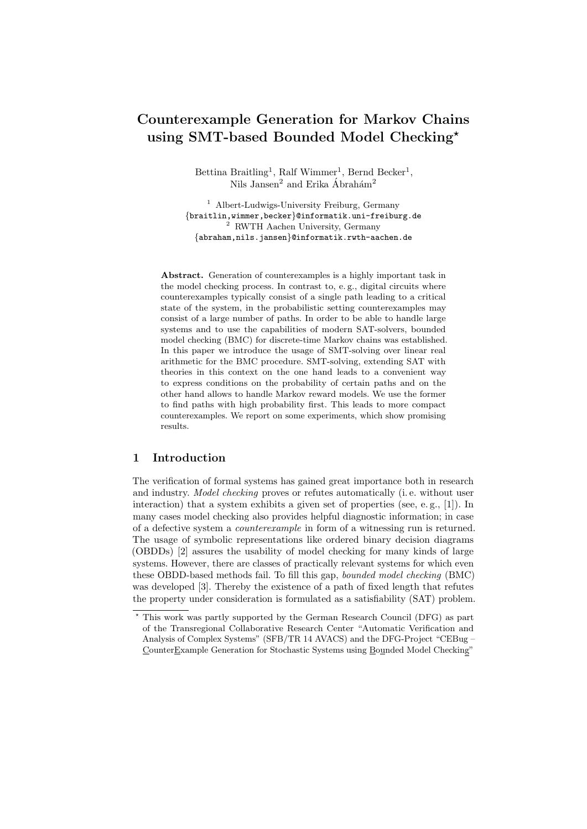# Counterexample Generation for Markov Chains using SMT-based Bounded Model Checking\*

Bettina Braitling<sup>1</sup>, Ralf Wimmer<sup>1</sup>, Bernd Becker<sup>1</sup>, Nils Jansen<sup>2</sup> and Erika  $\widehat{A}$ brahám<sup>2</sup>

<sup>1</sup> Albert-Ludwigs-University Freiburg, Germany {braitlin,wimmer,becker}@informatik.uni-freiburg.de <sup>2</sup> RWTH Aachen University, Germany {abraham,nils.jansen}@informatik.rwth-aachen.de

Abstract. Generation of counterexamples is a highly important task in the model checking process. In contrast to, e. g., digital circuits where counterexamples typically consist of a single path leading to a critical state of the system, in the probabilistic setting counterexamples may consist of a large number of paths. In order to be able to handle large systems and to use the capabilities of modern SAT-solvers, bounded model checking (BMC) for discrete-time Markov chains was established. In this paper we introduce the usage of SMT-solving over linear real arithmetic for the BMC procedure. SMT-solving, extending SAT with theories in this context on the one hand leads to a convenient way to express conditions on the probability of certain paths and on the other hand allows to handle Markov reward models. We use the former to find paths with high probability first. This leads to more compact counterexamples. We report on some experiments, which show promising results.

### 1 Introduction

The verification of formal systems has gained great importance both in research and industry. Model checking proves or refutes automatically (i. e. without user interaction) that a system exhibits a given set of properties (see, e.g., [1]). In many cases model checking also provides helpful diagnostic information; in case of a defective system a counterexample in form of a witnessing run is returned. The usage of symbolic representations like ordered binary decision diagrams (OBDDs) [2] assures the usability of model checking for many kinds of large systems. However, there are classes of practically relevant systems for which even these OBDD-based methods fail. To fill this gap, bounded model checking (BMC) was developed [3]. Thereby the existence of a path of fixed length that refutes the property under consideration is formulated as a satisfiability (SAT) problem.

<sup>?</sup> This work was partly supported by the German Research Council (DFG) as part of the Transregional Collaborative Research Center "Automatic Verification and Analysis of Complex Systems" (SFB/TR 14 AVACS) and the DFG-Project "CEBug – CounterExample Generation for Stochastic Systems using Bounded Model Checking"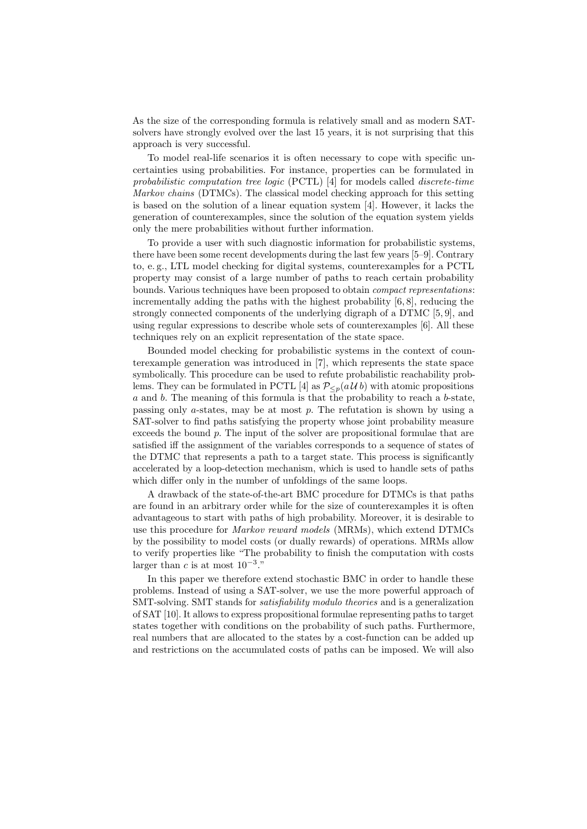As the size of the corresponding formula is relatively small and as modern SATsolvers have strongly evolved over the last 15 years, it is not surprising that this approach is very successful.

To model real-life scenarios it is often necessary to cope with specific uncertainties using probabilities. For instance, properties can be formulated in probabilistic computation tree logic (PCTL) [4] for models called discrete-time Markov chains (DTMCs). The classical model checking approach for this setting is based on the solution of a linear equation system [4]. However, it lacks the generation of counterexamples, since the solution of the equation system yields only the mere probabilities without further information.

To provide a user with such diagnostic information for probabilistic systems, there have been some recent developments during the last few years [5–9]. Contrary to, e. g., LTL model checking for digital systems, counterexamples for a PCTL property may consist of a large number of paths to reach certain probability bounds. Various techniques have been proposed to obtain compact representations: incrementally adding the paths with the highest probability [6, 8], reducing the strongly connected components of the underlying digraph of a DTMC [5, 9], and using regular expressions to describe whole sets of counterexamples [6]. All these techniques rely on an explicit representation of the state space.

Bounded model checking for probabilistic systems in the context of counterexample generation was introduced in [7], which represents the state space symbolically. This procedure can be used to refute probabilistic reachability problems. They can be formulated in PCTL [4] as  $P_{\leq p}(a \mathcal{U} b)$  with atomic propositions a and b. The meaning of this formula is that the probability to reach a b-state, passing only a-states, may be at most  $p$ . The refutation is shown by using a SAT-solver to find paths satisfying the property whose joint probability measure exceeds the bound  $p$ . The input of the solver are propositional formulae that are satisfied iff the assignment of the variables corresponds to a sequence of states of the DTMC that represents a path to a target state. This process is significantly accelerated by a loop-detection mechanism, which is used to handle sets of paths which differ only in the number of unfoldings of the same loops.

A drawback of the state-of-the-art BMC procedure for DTMCs is that paths are found in an arbitrary order while for the size of counterexamples it is often advantageous to start with paths of high probability. Moreover, it is desirable to use this procedure for *Markov reward models* (MRMs), which extend DTMCs by the possibility to model costs (or dually rewards) of operations. MRMs allow to verify properties like "The probability to finish the computation with costs larger than  $c$  is at most  $10^{-3}$ ."

In this paper we therefore extend stochastic BMC in order to handle these problems. Instead of using a SAT-solver, we use the more powerful approach of SMT-solving. SMT stands for satisfiability modulo theories and is a generalization of SAT [10]. It allows to express propositional formulae representing paths to target states together with conditions on the probability of such paths. Furthermore, real numbers that are allocated to the states by a cost-function can be added up and restrictions on the accumulated costs of paths can be imposed. We will also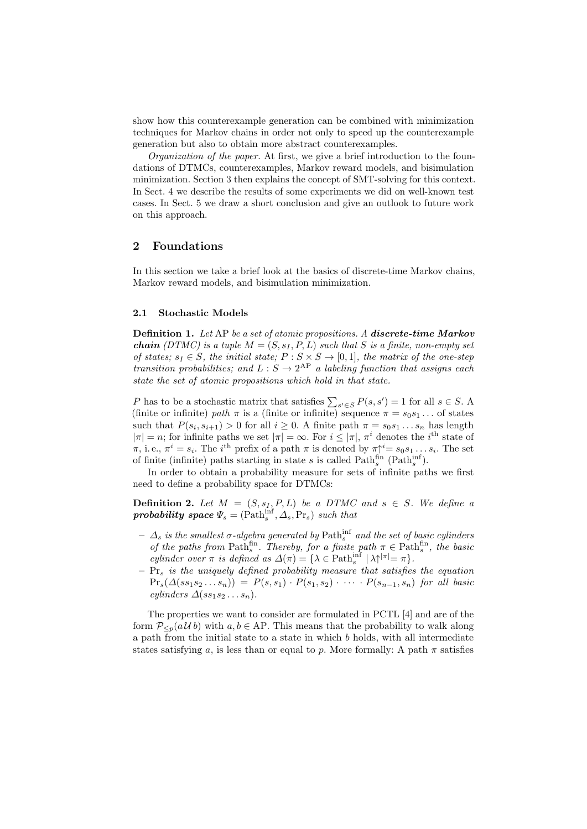show how this counterexample generation can be combined with minimization techniques for Markov chains in order not only to speed up the counterexample generation but also to obtain more abstract counterexamples.

Organization of the paper. At first, we give a brief introduction to the foundations of DTMCs, counterexamples, Markov reward models, and bisimulation minimization. Section 3 then explains the concept of SMT-solving for this context. In Sect. 4 we describe the results of some experiments we did on well-known test cases. In Sect. 5 we draw a short conclusion and give an outlook to future work on this approach.

## 2 Foundations

In this section we take a brief look at the basics of discrete-time Markov chains, Markov reward models, and bisimulation minimization.

### 2.1 Stochastic Models

Definition 1. Let AP be a set of atomic propositions. A discrete-time Markov **chain** (DTMC) is a tuple  $M = (S, s<sub>I</sub>, P, L)$  such that S is a finite, non-empty set of states;  $s_I \in S$ , the initial state;  $P : S \times S \rightarrow [0,1]$ , the matrix of the one-step transition probabilities; and  $L : S \to 2^{\text{AP}}$  a labeling function that assigns each state the set of atomic propositions which hold in that state.

P has to be a stochastic matrix that satisfies  $\sum_{s' \in S} P(s, s') = 1$  for all  $s \in S$ . (finite or infinite) path  $\pi$  is a (finite or infinite) sequence  $\pi = s_0 s_1 \dots$  of states such that  $P(s_i, s_{i+1}) > 0$  for all  $i \geq 0$ . A finite path  $\pi = s_0 s_1 \dots s_n$  has length  $|\pi| = n$ ; for infinite paths we set  $|\pi| = \infty$ . For  $i \leq |\pi|$ ,  $\pi^i$  denotes the i<sup>th</sup> state of  $\pi$ , i.e.,  $\pi^i = s_i$ . The *i*<sup>th</sup> prefix of a path  $\pi$  is denoted by  $\pi$ <sup>*i*</sup> =  $s_0 s_1 \dots s_i$ . The set of finite (infinite) paths starting in state s is called  $\text{Path}_{s}^{\text{fin}}$  ( $\text{Path}_{s}^{\text{inf}}$ ).

In order to obtain a probability measure for sets of infinite paths we first need to define a probability space for DTMCs:

**Definition 2.** Let  $M = (S, s_I, P, L)$  be a DTMC and  $s \in S$ . We define a probability space  $\Psi_s = (\text{Path}_s^{\text{inf}}, \Delta_s, \text{Pr}_s)$  such that

- $\Delta_s$  is the smallest  $\sigma$ -algebra generated by  $\mathrm{Path}^{\mathrm{inf}}_s$  and the set of basic cylinders of the paths from  $\text{Path}_{s}^{\text{fin}}$ . Thereby, for a finite path  $\pi \in \text{Path}_{s}^{\text{fin}}$ , the basic cylinder over  $\pi$  is defined as  $\Delta(\pi) = {\lambda \in \text{Path}_{s}^{\text{inf}}} |\lambda|^{\pi} = \pi$ .
- $-$  Pr<sub>s</sub> is the uniquely defined probability measure that satisfies the equation  $Pr_s(\Delta(ss_1s_2...s_n)) = P(s,s_1) \cdot P(s_1,s_2) \cdot \cdots \cdot P(s_{n-1},s_n)$  for all basic cylinders  $\Delta(ss_1s_2...s_n)$ .

The properties we want to consider are formulated in PCTL [4] and are of the form  $P_{\leq p}(a U b)$  with  $a, b \in AP$ . This means that the probability to walk along a path from the initial state to a state in which b holds, with all intermediate states satisfying a, is less than or equal to p. More formally: A path  $\pi$  satisfies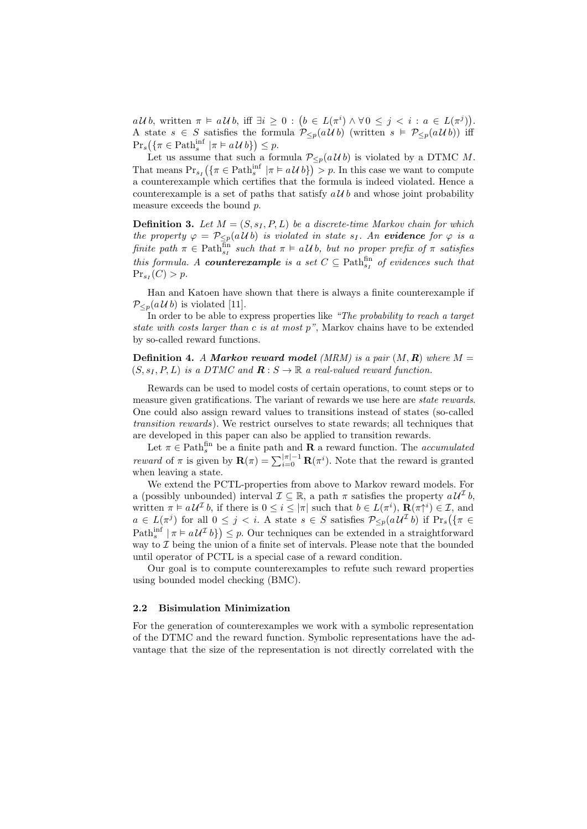$a\mathcal{U}b$ , written  $\pi \models a\mathcal{U}b$ , iff  $\exists i \geq 0 : (b \in L(\pi^i) \land \forall 0 \leq j < i : a \in L(\pi^j)).$ A state  $s \in S$  satisfies the formula  $\mathcal{P}_{\leq p}(a \mathcal{U} b)$  (written  $s \models \mathcal{P}_{\leq p}(a \mathcal{U} b)$ ) iff  $\Pr_s\big(\{\pi \in \text{Path}_s^{\text{inf}} \, | \pi \vDash a \,\mathcal{U} \, b\}\big) \leq p.$ 

Let us assume that such a formula  $P_{\leq p}(a U b)$  is violated by a DTMC M. That means  $Pr_{s_I}(\{\pi \in \text{Path}_s^{\text{inf}} \mid \pi \models a \mathcal{U}b\}) > p$ . In this case we want to compute a counterexample which certifies that the formula is indeed violated. Hence a counterexample is a set of paths that satisfy  $a \mathcal{U} b$  and whose joint probability measure exceeds the bound p.

**Definition 3.** Let  $M = (S, s_I, P, L)$  be a discrete-time Markov chain for which the property  $\varphi = \mathcal{P}_{\leq p}(a \mathcal{U} b)$  is violated in state  $s_I$ . An evidence for  $\varphi$  is a finite path  $\pi \in \text{Path}_{s_I}^{\text{fin}}$  such that  $\pi \models a \mathcal{U} b$ , but no proper prefix of  $\pi$  satisfies this formula. A **counterexample** is a set  $C \subseteq \text{Path}_{s_I}^{\text{fin}}$  of evidences such that  $\Pr_{s_I}(C) > p.$ 

Han and Katoen have shown that there is always a finite counterexample if  $\mathcal{P}_{\leq p}(a \mathcal{U}b)$  is violated [11].

In order to be able to express properties like "The probability to reach a target state with costs larger than c is at most  $p$ ", Markov chains have to be extended by so-called reward functions.

**Definition 4.** A Markov reward model (MRM) is a pair  $(M, R)$  where  $M =$  $(S, s_I, P, L)$  is a DTMC and  $\mathbf{R} : S \to \mathbb{R}$  a real-valued reward function.

Rewards can be used to model costs of certain operations, to count steps or to measure given gratifications. The variant of rewards we use here are *state rewards*. One could also assign reward values to transitions instead of states (so-called transition rewards). We restrict ourselves to state rewards; all techniques that are developed in this paper can also be applied to transition rewards.

Let  $\pi \in \text{Path}_{s}^{\text{fin}}$  be a finite path and **R** a reward function. The *accumulated reward* of  $\pi$  is given by  $\mathbf{R}(\pi) = \sum_{i=0}^{|\pi|-1} \mathbf{R}(\pi^i)$ . Note that the reward is granted when leaving a state.

We extend the PCTL-properties from above to Markov reward models. For a (possibly unbounded) interval  $\mathcal{I} \subseteq \mathbb{R}$ , a path  $\pi$  satisfies the property  $a \mathcal{U}^{\mathcal{I}} b$ , written  $\pi \models a \mathcal{U}^{\mathcal{I}} b$ , if there is  $0 \leq i \leq |\pi|$  such that  $b \in L(\pi^i)$ ,  $\mathbf{R}(\pi^{\uparrow i}) \in \mathcal{I}$ , and  $a \in L(\pi^j)$  for all  $0 \leq j < i$ . A state  $s \in S$  satisfies  $\mathcal{P}_{\leq p}(a\mathcal{U}^{\mathcal{I}}b)$  if  $\Pr_s(\{\pi \in$ Path<sup>inf</sup>  $|\pi \models a \mathcal{U}^{\mathcal{I}} b$   $\geq p$ . Our techniques can be extended in a straightforward way to  $\mathcal I$  being the union of a finite set of intervals. Please note that the bounded until operator of PCTL is a special case of a reward condition.

Our goal is to compute counterexamples to refute such reward properties using bounded model checking (BMC).

### 2.2 Bisimulation Minimization

For the generation of counterexamples we work with a symbolic representation of the DTMC and the reward function. Symbolic representations have the advantage that the size of the representation is not directly correlated with the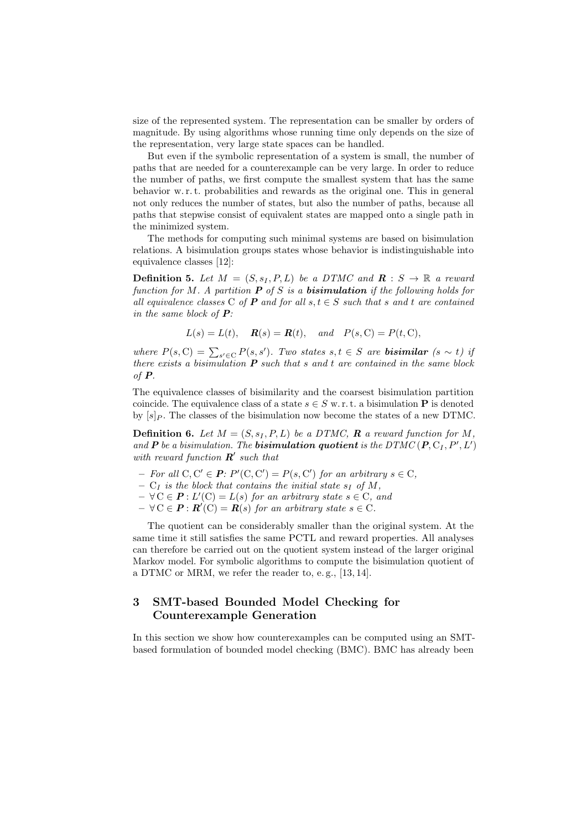size of the represented system. The representation can be smaller by orders of magnitude. By using algorithms whose running time only depends on the size of the representation, very large state spaces can be handled.

But even if the symbolic representation of a system is small, the number of paths that are needed for a counterexample can be very large. In order to reduce the number of paths, we first compute the smallest system that has the same behavior w. r. t. probabilities and rewards as the original one. This in general not only reduces the number of states, but also the number of paths, because all paths that stepwise consist of equivalent states are mapped onto a single path in the minimized system.

The methods for computing such minimal systems are based on bisimulation relations. A bisimulation groups states whose behavior is indistinguishable into equivalence classes [12]:

**Definition 5.** Let  $M = (S, s_I, P, L)$  be a DTMC and  $\mathbf{R} : S \to \mathbb{R}$  a reward function for M. A partition  $P$  of S is a **bisimulation** if the following holds for all equivalence classes C of P and for all  $s, t \in S$  such that s and t are contained in the same block of  $P$ :

$$
L(s) = L(t), \quad \mathbf{R}(s) = \mathbf{R}(t), \quad and \quad P(s, \mathbf{C}) = P(t, \mathbf{C}),
$$

where  $P(s, C) = \sum_{s' \in C} P(s, s')$ . Two states  $s, t \in S$  are **bisimilar**  $(s \sim t)$  if there exists a bisimulation  $P$  such that s and t are contained in the same block of P.

The equivalence classes of bisimilarity and the coarsest bisimulation partition coincide. The equivalence class of a state  $s \in S$  w.r.t. a bisimulation **P** is denoted by  $[s]_P$ . The classes of the bisimulation now become the states of a new DTMC.

**Definition 6.** Let  $M = (S, s_I, P, L)$  be a DTMC, **R** a reward function for M, and **P** be a bisimulation. The **bisimulation quotient** is the  $DTMC(P, C_I, P', L')$ with reward function  $\mathbf{R}'$  such that

- For all  $C, C' \in \mathbf{P}$ :  $P'(C, C') = P(s, C')$  for an arbitrary  $s \in C$ ,
- $-$  C<sub>I</sub> is the block that contains the initial state  $s_I$  of M,
- $\forall C \in \mathbf{P} : L'(C) = L(s)$  for an arbitrary state  $s \in C$ , and
- $\forall C \in \mathbf{P} : \mathbf{R}'(C) = \mathbf{R}(s)$  for an arbitrary state  $s \in C$ .

The quotient can be considerably smaller than the original system. At the same time it still satisfies the same PCTL and reward properties. All analyses can therefore be carried out on the quotient system instead of the larger original Markov model. For symbolic algorithms to compute the bisimulation quotient of a DTMC or MRM, we refer the reader to, e. g., [13, 14].

## 3 SMT-based Bounded Model Checking for Counterexample Generation

In this section we show how counterexamples can be computed using an SMTbased formulation of bounded model checking (BMC). BMC has already been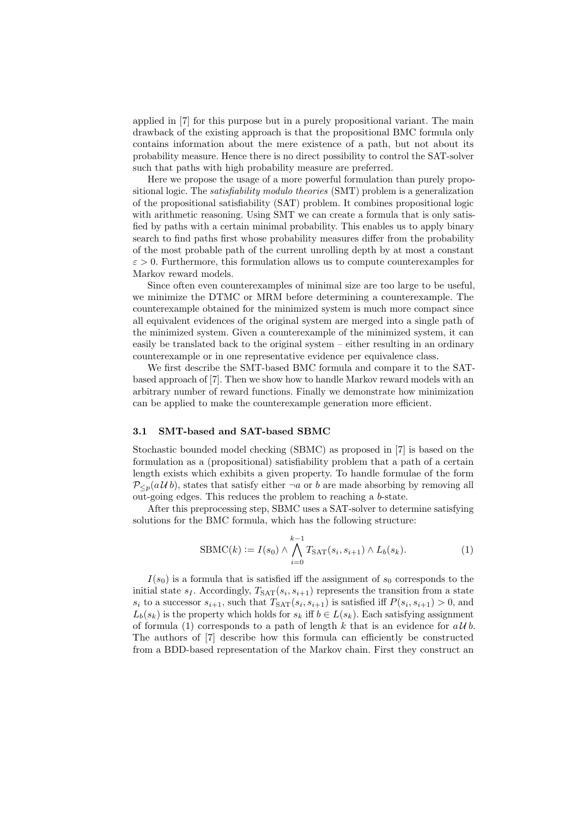applied in [7] for this purpose but in a purely propositional variant. The main drawback of the existing approach is that the propositional BMC formula only contains information about the mere existence of a path, but not about its probability measure. Hence there is no direct possibility to control the SAT-solver such that paths with high probability measure are preferred.

Here we propose the usage of a more powerful formulation than purely propositional logic. The satisfiability modulo theories (SMT) problem is a generalization of the propositional satisfiability (SAT) problem. It combines propositional logic with arithmetic reasoning. Using SMT we can create a formula that is only satisfied by paths with a certain minimal probability. This enables us to apply binary search to find paths first whose probability measures differ from the probability of the most probable path of the current unrolling depth by at most a constant  $\varepsilon > 0$ . Furthermore, this formulation allows us to compute counterexamples for Markov reward models.

Since often even counterexamples of minimal size are too large to be useful, we minimize the DTMC or MRM before determining a counterexample. The counterexample obtained for the minimized system is much more compact since all equivalent evidences of the original system are merged into a single path of the minimized system. Given a counterexample of the minimized system, it can easily be translated back to the original system – either resulting in an ordinary counterexample or in one representative evidence per equivalence class.

We first describe the SMT-based BMC formula and compare it to the SATbased approach of [7]. Then we show how to handle Markov reward models with an arbitrary number of reward functions. Finally we demonstrate how minimization can be applied to make the counterexample generation more efficient.

#### 3.1 SMT-based and SAT-based SBMC

Stochastic bounded model checking (SBMC) as proposed in [7] is based on the formulation as a (propositional) satisfiability problem that a path of a certain length exists which exhibits a given property. To handle formulae of the form  $P_{\leq p}(a U b)$ , states that satisfy either  $\neg a$  or b are made absorbing by removing all out-going edges. This reduces the problem to reaching a b-state.

After this preprocessing step, SBMC uses a SAT-solver to determine satisfying solutions for the BMC formula, which has the following structure:

$$
SBMC(k) := I(s_0) \wedge \bigwedge_{i=0}^{k-1} T_{SAT}(s_i, s_{i+1}) \wedge L_b(s_k). \tag{1}
$$

 $I(s_0)$  is a formula that is satisfied iff the assignment of  $s_0$  corresponds to the initial state  $s_I$ . Accordingly,  $T_{\text{SAT}}(s_i, s_{i+1})$  represents the transition from a state  $s_i$  to a successor  $s_{i+1}$ , such that  $T_{\text{SAT}}(s_i, s_{i+1})$  is satisfied iff  $P(s_i, s_{i+1}) > 0$ , and  $L_b(s_k)$  is the property which holds for  $s_k$  iff  $b \in L(s_k)$ . Each satisfying assignment of formula (1) corresponds to a path of length k that is an evidence for  $a \mathcal{U} b$ . The authors of [7] describe how this formula can efficiently be constructed from a BDD-based representation of the Markov chain. First they construct an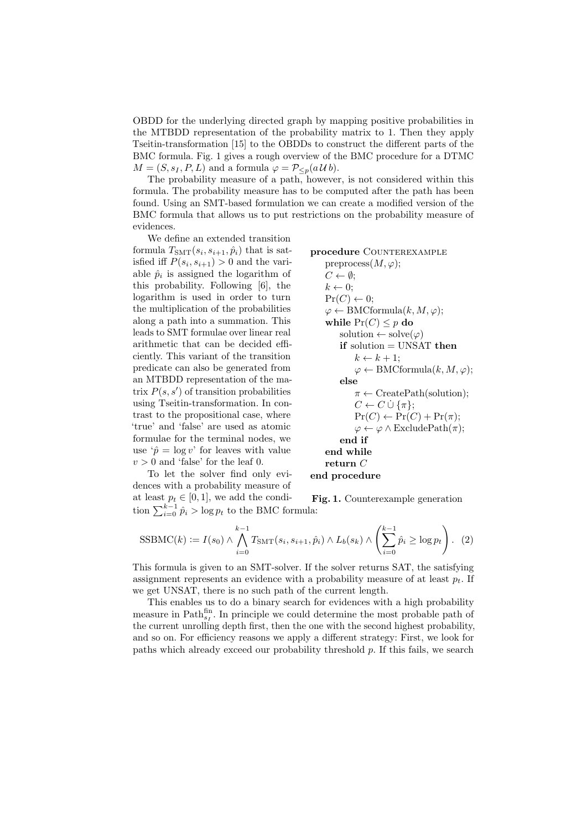OBDD for the underlying directed graph by mapping positive probabilities in the MTBDD representation of the probability matrix to 1. Then they apply Tseitin-transformation [15] to the OBDDs to construct the different parts of the BMC formula. Fig. 1 gives a rough overview of the BMC procedure for a DTMC  $M = (S, s_I, P, L)$  and a formula  $\varphi = \mathcal{P}_{\leq p}(a \mathcal{U} b).$ 

The probability measure of a path, however, is not considered within this formula. The probability measure has to be computed after the path has been found. Using an SMT-based formulation we can create a modified version of the BMC formula that allows us to put restrictions on the probability measure of evidences.

We define an extended transition formula  $T_{\text{SMT}}(s_i, s_{i+1}, \hat{p}_i)$  that is satisfied iff  $P(s_i, s_{i+1}) > 0$  and the variable  $\hat{p}_i$  is assigned the logarithm of this probability. Following [6], the logarithm is used in order to turn the multiplication of the probabilities along a path into a summation. This leads to SMT formulae over linear real arithmetic that can be decided efficiently. This variant of the transition predicate can also be generated from an MTBDD representation of the matrix  $P(s, s')$  of transition probabilities using Tseitin-transformation. In contrast to the propositional case, where 'true' and 'false' are used as atomic formulae for the terminal nodes, we use ' $\hat{v} = \log v$ ' for leaves with value  $v > 0$  and 'false' for the leaf 0.

To let the solver find only evidences with a probability measure of at least  $p_t \in [0, 1]$ , we add the condition  $\sum_{i=0}^{k-1} \hat{p}_i > \log p_t$  to the BMC formula:

#### procedure COUNTEREXAMPLE

$$
C ← ∅;
$$
  
\n
$$
C ← ∅;
$$
  
\n
$$
k ← 0;
$$
  
\n
$$
Pr(C) ← 0;
$$
  
\n
$$
φ ← BMCformula(k, M, φ);
$$
  
\n**while** 
$$
Pr(C) ≤ p
$$
 **do**  
\n*solution* ← solve(φ)  
\n**if** solution = UNSAT **then**  
\n
$$
k ← k + 1;
$$
  
\n
$$
φ ← BMCformula(k, M, φ);
$$
  
\n**else**  
\n
$$
π ← CreatePath(solution);
$$
  
\n
$$
C ← C ∪ {π};
$$
  
\n
$$
Pr(C) ← Pr(C) + Pr(π);
$$
  
\n
$$
φ ← φ ∧ ExcludePath(π);
$$
  
\n**end if**  
\n**end while**  
\n**return** C  
\n**end procedure**

Fig. 1. Counterexample generation

$$
SSBMC(k) := I(s_0) \wedge \bigwedge_{i=0}^{k-1} T_{\text{SMT}}(s_i, s_{i+1}, \hat{p}_i) \wedge L_b(s_k) \wedge \left(\sum_{i=0}^{k-1} \hat{p}_i \ge \log p_t\right). \tag{2}
$$

This formula is given to an SMT-solver. If the solver returns SAT, the satisfying assignment represents an evidence with a probability measure of at least  $p_t$ . If we get UNSAT, there is no such path of the current length.

This enables us to do a binary search for evidences with a high probability measure in  $\text{Path}_{s_I}^{\text{fin}}$ . In principle we could determine the most probable path of the current unrolling depth first, then the one with the second highest probability, and so on. For efficiency reasons we apply a different strategy: First, we look for paths which already exceed our probability threshold  $p$ . If this fails, we search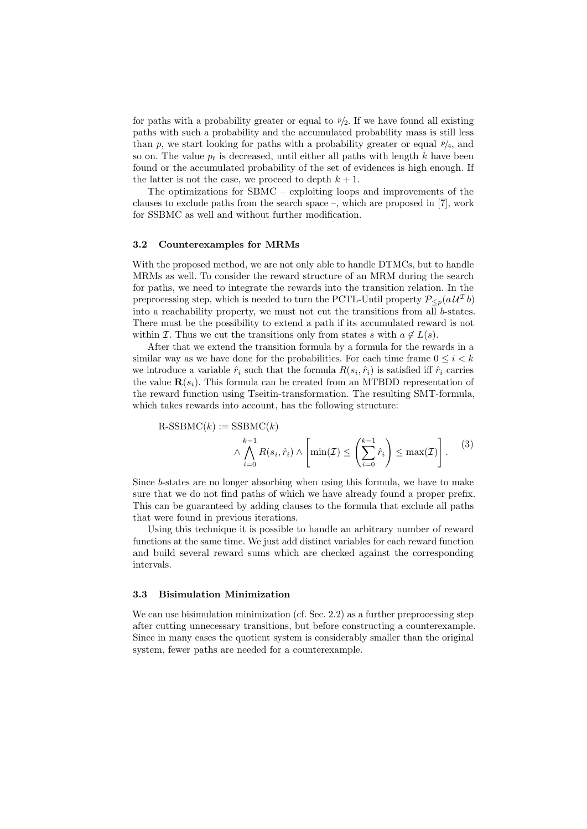for paths with a probability greater or equal to  $\frac{p}{2}$ . If we have found all existing paths with such a probability and the accumulated probability mass is still less than p, we start looking for paths with a probability greater or equal  $p/4$ , and so on. The value  $p_t$  is decreased, until either all paths with length k have been found or the accumulated probability of the set of evidences is high enough. If the latter is not the case, we proceed to depth  $k + 1$ .

The optimizations for SBMC – exploiting loops and improvements of the clauses to exclude paths from the search space –, which are proposed in [7], work for SSBMC as well and without further modification.

#### 3.2 Counterexamples for MRMs

With the proposed method, we are not only able to handle DTMCs, but to handle MRMs as well. To consider the reward structure of an MRM during the search for paths, we need to integrate the rewards into the transition relation. In the preprocessing step, which is needed to turn the PCTL-Until property  $\mathcal{P}_{\leq p}(a\,\mathcal{U}^{\mathcal{I}}\,b)$ into a reachability property, we must not cut the transitions from all b-states. There must be the possibility to extend a path if its accumulated reward is not within *I*. Thus we cut the transitions only from states s with  $a \notin L(s)$ .

After that we extend the transition formula by a formula for the rewards in a similar way as we have done for the probabilities. For each time frame  $0 \leq i \leq k$ we introduce a variable  $\hat{r}_i$  such that the formula  $R(s_i, \hat{r}_i)$  is satisfied iff  $\hat{r}_i$  carries the value  $\mathbf{R}(s_i)$ . This formula can be created from an MTBDD representation of the reward function using Tseitin-transformation. The resulting SMT-formula, which takes rewards into account, has the following structure:

R-SSBMC(k) := SSBMC(k)  
\n
$$
\wedge \bigwedge_{i=0}^{k-1} R(s_i, \hat{r}_i) \wedge \left[ \min(\mathcal{I}) \le \left( \sum_{i=0}^{k-1} \hat{r}_i \right) \le \max(\mathcal{I}) \right].
$$
\n(3)

Since b-states are no longer absorbing when using this formula, we have to make sure that we do not find paths of which we have already found a proper prefix. This can be guaranteed by adding clauses to the formula that exclude all paths that were found in previous iterations.

Using this technique it is possible to handle an arbitrary number of reward functions at the same time. We just add distinct variables for each reward function and build several reward sums which are checked against the corresponding intervals.

#### 3.3 Bisimulation Minimization

We can use bisimulation minimization (cf. Sec. 2.2) as a further preprocessing step after cutting unnecessary transitions, but before constructing a counterexample. Since in many cases the quotient system is considerably smaller than the original system, fewer paths are needed for a counterexample.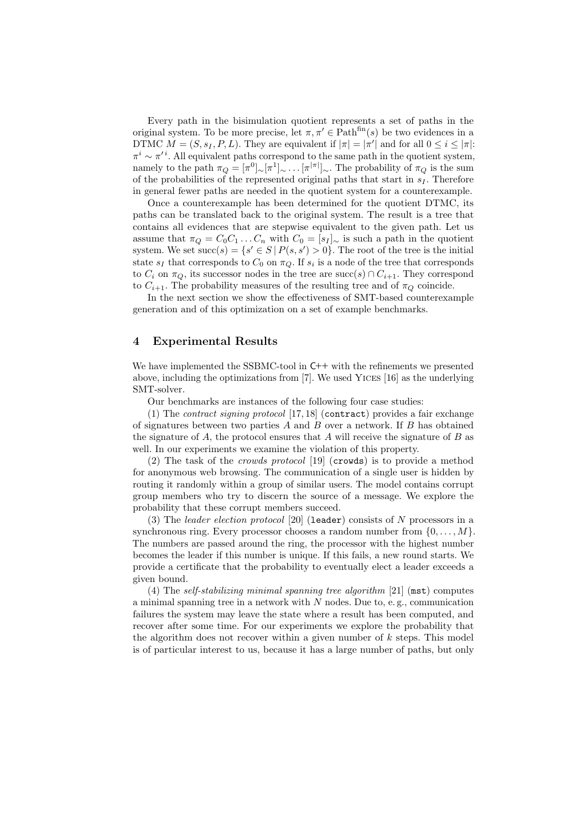Every path in the bisimulation quotient represents a set of paths in the original system. To be more precise, let  $\pi, \pi' \in \text{Path}^{\text{fin}}(s)$  be two evidences in a DTMC  $M = (S, s_I, P, L)$ . They are equivalent if  $|\pi| = |\pi'|$  and for all  $0 \le i \le |\pi|$ :  $\pi^i \sim \pi'^i$ . All equivalent paths correspond to the same path in the quotient system, namely to the path  $\pi_Q = [\pi^0]_{\sim} [\pi^1]_{\sim} \dots [\pi^{|\pi|}]_{\sim}$ . The probability of  $\pi_Q$  is the sum of the probabilities of the represented original paths that start in  $s_I$ . Therefore in general fewer paths are needed in the quotient system for a counterexample.

Once a counterexample has been determined for the quotient DTMC, its paths can be translated back to the original system. The result is a tree that contains all evidences that are stepwise equivalent to the given path. Let us assume that  $\pi_Q = C_0C_1 \dots C_n$  with  $C_0 = [s_I]_{\sim}$  is such a path in the quotient system. We set  $succ(s) = \{s' \in S \mid P(s, s') > 0\}$ . The root of the tree is the initial state  $s_I$  that corresponds to  $C_0$  on  $\pi_Q$ . If  $s_i$  is a node of the tree that corresponds to  $C_i$  on  $\pi_Q$ , its successor nodes in the tree are succ(s) ∩  $C_{i+1}$ . They correspond to  $C_{i+1}$ . The probability measures of the resulting tree and of  $\pi_Q$  coincide.

In the next section we show the effectiveness of SMT-based counterexample generation and of this optimization on a set of example benchmarks.

### 4 Experimental Results

We have implemented the SSBMC-tool in  $C++$  with the refinements we presented above, including the optimizations from [7]. We used Yices [16] as the underlying SMT-solver.

Our benchmarks are instances of the following four case studies:

(1) The *contract signing protocol* [17, 18] (contract) provides a fair exchange of signatures between two parties  $A$  and  $B$  over a network. If  $B$  has obtained the signature of  $A$ , the protocol ensures that  $A$  will receive the signature of  $B$  as well. In our experiments we examine the violation of this property.

(2) The task of the crowds protocol [19] (crowds) is to provide a method for anonymous web browsing. The communication of a single user is hidden by routing it randomly within a group of similar users. The model contains corrupt group members who try to discern the source of a message. We explore the probability that these corrupt members succeed.

(3) The leader election protocol  $[20]$  (leader) consists of N processors in a synchronous ring. Every processor chooses a random number from  $\{0, \ldots, M\}$ . The numbers are passed around the ring, the processor with the highest number becomes the leader if this number is unique. If this fails, a new round starts. We provide a certificate that the probability to eventually elect a leader exceeds a given bound.

(4) The self-stabilizing minimal spanning tree algorithm [21] ( $mst$ ) computes a minimal spanning tree in a network with  $N$  nodes. Due to, e.g., communication failures the system may leave the state where a result has been computed, and recover after some time. For our experiments we explore the probability that the algorithm does not recover within a given number of  $k$  steps. This model is of particular interest to us, because it has a large number of paths, but only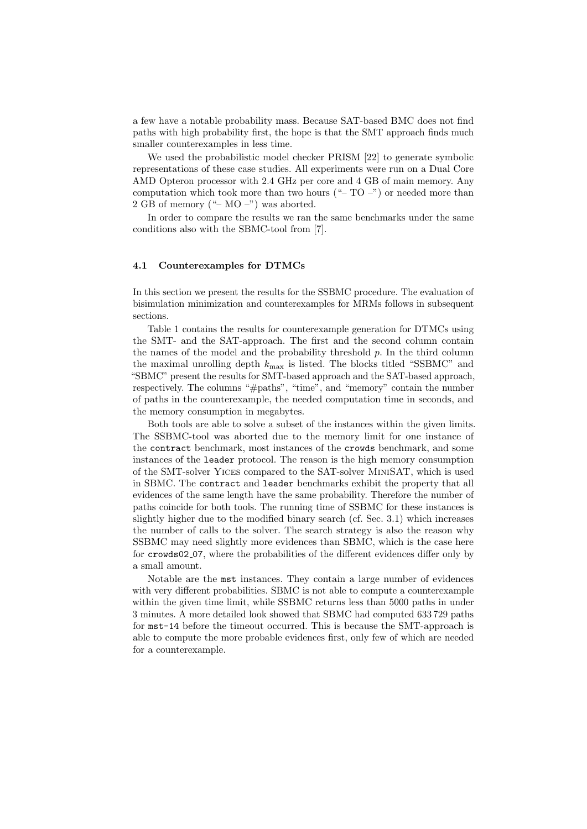a few have a notable probability mass. Because SAT-based BMC does not find paths with high probability first, the hope is that the SMT approach finds much smaller counterexamples in less time.

We used the probabilistic model checker PRISM [22] to generate symbolic representations of these case studies. All experiments were run on a Dual Core AMD Opteron processor with 2.4 GHz per core and 4 GB of main memory. Any computation which took more than two hours  $($ "- TO -") or needed more than 2 GB of memory  $(*-MO -")$  was aborted.

In order to compare the results we ran the same benchmarks under the same conditions also with the SBMC-tool from [7].

### 4.1 Counterexamples for DTMCs

In this section we present the results for the SSBMC procedure. The evaluation of bisimulation minimization and counterexamples for MRMs follows in subsequent sections.

Table 1 contains the results for counterexample generation for DTMCs using the SMT- and the SAT-approach. The first and the second column contain the names of the model and the probability threshold  $p$ . In the third column the maximal unrolling depth  $k_{\text{max}}$  is listed. The blocks titled "SSBMC" and "SBMC" present the results for SMT-based approach and the SAT-based approach, respectively. The columns "#paths", "time", and "memory" contain the number of paths in the counterexample, the needed computation time in seconds, and the memory consumption in megabytes.

Both tools are able to solve a subset of the instances within the given limits. The SSBMC-tool was aborted due to the memory limit for one instance of the contract benchmark, most instances of the crowds benchmark, and some instances of the leader protocol. The reason is the high memory consumption of the SMT-solver Yices compared to the SAT-solver MiniSAT, which is used in SBMC. The contract and leader benchmarks exhibit the property that all evidences of the same length have the same probability. Therefore the number of paths coincide for both tools. The running time of SSBMC for these instances is slightly higher due to the modified binary search (cf. Sec. 3.1) which increases the number of calls to the solver. The search strategy is also the reason why SSBMC may need slightly more evidences than SBMC, which is the case here for crowds02 07, where the probabilities of the different evidences differ only by a small amount.

Notable are the mst instances. They contain a large number of evidences with very different probabilities. SBMC is not able to compute a counterexample within the given time limit, while SSBMC returns less than 5000 paths in under 3 minutes. A more detailed look showed that SBMC had computed 633 729 paths for mst-14 before the timeout occurred. This is because the SMT-approach is able to compute the more probable evidences first, only few of which are needed for a counterexample.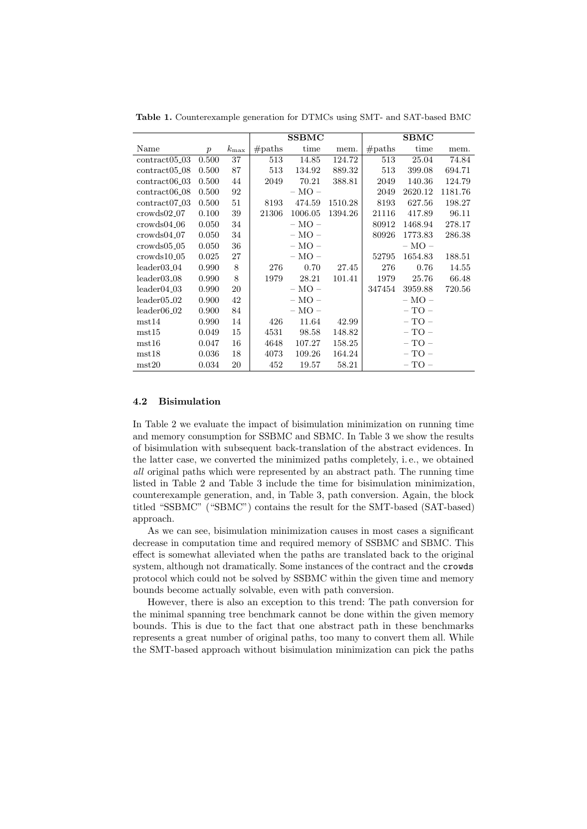|                         |                  |               | <b>SSBMC</b> |            |         | <b>SBMC</b> |            |         |  |
|-------------------------|------------------|---------------|--------------|------------|---------|-------------|------------|---------|--|
| Name                    | $\boldsymbol{p}$ | $k_{\rm max}$ | #paths       | time       | mem.    | #paths      | time       | mem.    |  |
| $contract05_03$         | 0.500            | 37            | 513          | 14.85      | 124.72  | 513         | 25.04      | 74.84   |  |
| $contract05_08$         | 0.500            | 87            | 513          | 134.92     | 889.32  | 513         | 399.08     | 694.71  |  |
| $contract06_03$         | 0.500            | 44            | 2049         | 70.21      | 388.81  | 2049        | 140.36     | 124.79  |  |
| $contract06_08$         | 0.500            | 92            |              | $- MO -$   |         | 2049        | 2620.12    | 1181.76 |  |
| $contract07_03$         | 0.500            | 51            | 8193         | 474.59     | 1510.28 | 8193        | 627.56     | 198.27  |  |
| $\text{crowds}02\_07$   | 0.100            | 39            | 21306        | 1006.05    | 1394.26 | 21116       | 417.89     | 96.11   |  |
| $\text{crowds}04\_06$   | 0.050            | 34            |              | $- MO -$   |         | 80912       | 1468.94    | 278.17  |  |
| $crowds04_07$           | 0.050            | 34            |              | $- MO -$   |         | 80926       | 1773.83    | 286.38  |  |
| $\text{crowds}05_05$    | 0.050            | 36            |              | $- MO -$   |         |             | $- MO -$   |         |  |
| $crowds10_05$           | 0.025            | 27            |              | $- MO -$   |         | 52795       | 1654.83    | 188.51  |  |
| leader <sub>03.04</sub> | 0.990            | 8             | 276          | 0.70       | 27.45   | 276         | 0.76       | 14.55   |  |
| leader <sub>03.08</sub> | 0.990            | 8             | 1979         | 28.21      | 101.41  | 1979        | 25.76      | 66.48   |  |
| $leader04_03$           | 0.990            | 20            |              | $- MO -$   |         | 347454      | 3959.88    | 720.56  |  |
| $leader 05_02$          | 0.900            | 42            |              | $-$ MO $-$ |         |             | $- MO -$   |         |  |
| $leader 06_02$          | 0.900            | 84            |              | $- MO -$   |         |             | $- TO -$   |         |  |
| mst14                   | 0.990            | 14            | 426          | 11.64      | 42.99   | $- TO -$    |            |         |  |
| mst15                   | 0.049            | 15            | 4531         | 98.58      | 148.82  | $- TO -$    |            |         |  |
| mst16                   | 0.047            | 16            | 4648         | 107.27     | 158.25  |             | $- TO -$   |         |  |
| mst18                   | 0.036            | 18            | 4073         | 109.26     | 164.24  |             | $- TO -$   |         |  |
| mst20                   | 0.034            | 20            | 452          | 19.57      | 58.21   |             | $-$ TO $-$ |         |  |

Table 1. Counterexample generation for DTMCs using SMT- and SAT-based BMC

#### 4.2 Bisimulation

In Table 2 we evaluate the impact of bisimulation minimization on running time and memory consumption for SSBMC and SBMC. In Table 3 we show the results of bisimulation with subsequent back-translation of the abstract evidences. In the latter case, we converted the minimized paths completely, i. e., we obtained all original paths which were represented by an abstract path. The running time listed in Table 2 and Table 3 include the time for bisimulation minimization, counterexample generation, and, in Table 3, path conversion. Again, the block titled "SSBMC" ("SBMC") contains the result for the SMT-based (SAT-based) approach.

As we can see, bisimulation minimization causes in most cases a significant decrease in computation time and required memory of SSBMC and SBMC. This effect is somewhat alleviated when the paths are translated back to the original system, although not dramatically. Some instances of the contract and the crowds protocol which could not be solved by SSBMC within the given time and memory bounds become actually solvable, even with path conversion.

However, there is also an exception to this trend: The path conversion for the minimal spanning tree benchmark cannot be done within the given memory bounds. This is due to the fact that one abstract path in these benchmarks represents a great number of original paths, too many to convert them all. While the SMT-based approach without bisimulation minimization can pick the paths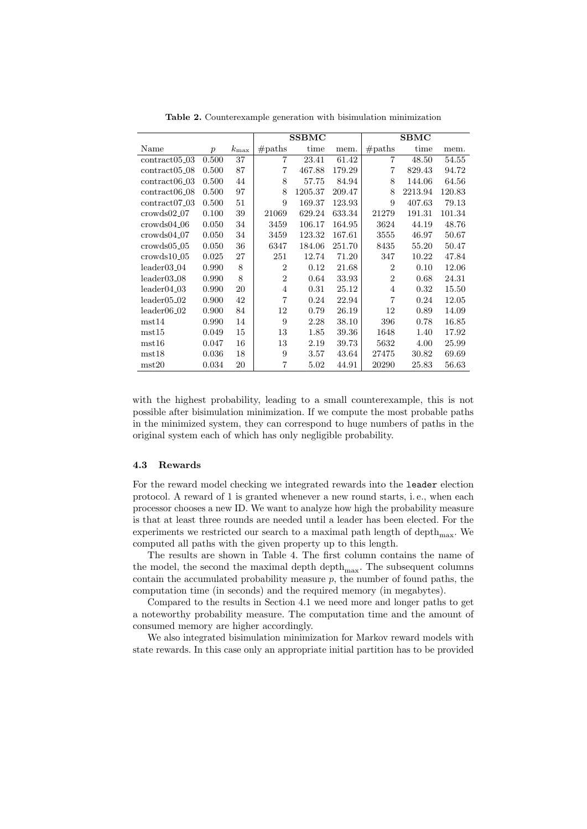|                         |                  |               | <b>SSBMC</b>   |         |        | <b>SBMC</b>    |         |        |  |
|-------------------------|------------------|---------------|----------------|---------|--------|----------------|---------|--------|--|
| Name                    | $\boldsymbol{p}$ | $k_{\rm max}$ | $\#paths$      | time    | mem.   | #paths         | time    | mem.   |  |
| $contract05_03$         | 0.500            | 37            | 7              | 23.41   | 61.42  | $\overline{7}$ | 48.50   | 54.55  |  |
| $contract05_08$         | 0.500            | 87            | 7              | 467.88  | 179.29 | 7              | 829.43  | 94.72  |  |
| $contract06_03$         | 0.500            | 44            | 8              | 57.75   | 84.94  | 8              | 144.06  | 64.56  |  |
| $contract06_08$         | 0.500            | 97            | 8              | 1205.37 | 209.47 | 8              | 2213.94 | 120.83 |  |
| $contract07_03$         | 0.500            | 51            | 9              | 169.37  | 123.93 | 9              | 407.63  | 79.13  |  |
| $\text{crowds}02\_07$   | 0.100            | 39            | 21069          | 629.24  | 633.34 | 21279          | 191.31  | 101.34 |  |
| $\text{crowds}04\_06$   | 0.050            | 34            | 3459           | 106.17  | 164.95 | 3624           | 44.19   | 48.76  |  |
| $\text{crowds}04\_07$   | 0.050            | 34            | 3459           | 123.32  | 167.61 | 3555           | 46.97   | 50.67  |  |
| $crowds05_05$           | 0.050            | 36            | 6347           | 184.06  | 251.70 | 8435           | 55.20   | 50.47  |  |
| $crowds10_05$           | 0.025            | 27            | 251            | 12.74   | 71.20  | 347            | 10.22   | 47.84  |  |
| leader <sub>03.04</sub> | 0.990            | 8             | $\overline{2}$ | 0.12    | 21.68  | $\overline{2}$ | 0.10    | 12.06  |  |
| leader <sub>03.08</sub> | 0.990            | 8             | $\overline{2}$ | 0.64    | 33.93  | $\overline{2}$ | 0.68    | 24.31  |  |
| $leader04_03$           | 0.990            | 20            | $\overline{4}$ | 0.31    | 25.12  | $\overline{4}$ | 0.32    | 15.50  |  |
| $leader 05_02$          | 0.900            | 42            | $\overline{7}$ | 0.24    | 22.94  | 7              | 0.24    | 12.05  |  |
| $leader 06_02$          | 0.900            | 84            | 12             | 0.79    | 26.19  | 12             | 0.89    | 14.09  |  |
| mst14                   | 0.990            | 14            | 9              | 2.28    | 38.10  | 396            | 0.78    | 16.85  |  |
| mst15                   | 0.049            | 15            | 13             | 1.85    | 39.36  | 1648           | 1.40    | 17.92  |  |
| mst16                   | 0.047            | 16            | 13             | 2.19    | 39.73  | 5632           | 4.00    | 25.99  |  |
| mst18                   | 0.036            | 18            | 9              | 3.57    | 43.64  | 27475          | 30.82   | 69.69  |  |
| mst20                   | 0.034            | 20            | 7              | 5.02    | 44.91  | 20290          | 25.83   | 56.63  |  |

Table 2. Counterexample generation with bisimulation minimization

with the highest probability, leading to a small counterexample, this is not possible after bisimulation minimization. If we compute the most probable paths in the minimized system, they can correspond to huge numbers of paths in the original system each of which has only negligible probability.

#### 4.3 Rewards

For the reward model checking we integrated rewards into the leader election protocol. A reward of 1 is granted whenever a new round starts, i. e., when each processor chooses a new ID. We want to analyze how high the probability measure is that at least three rounds are needed until a leader has been elected. For the experiments we restricted our search to a maximal path length of depth $_{\text{max}}$ . We computed all paths with the given property up to this length.

The results are shown in Table 4. The first column contains the name of the model, the second the maximal depth depth $_{\text{max}}$ . The subsequent columns contain the accumulated probability measure  $p$ , the number of found paths, the computation time (in seconds) and the required memory (in megabytes).

Compared to the results in Section 4.1 we need more and longer paths to get a noteworthy probability measure. The computation time and the amount of consumed memory are higher accordingly.

We also integrated bisimulation minimization for Markov reward models with state rewards. In this case only an appropriate initial partition has to be provided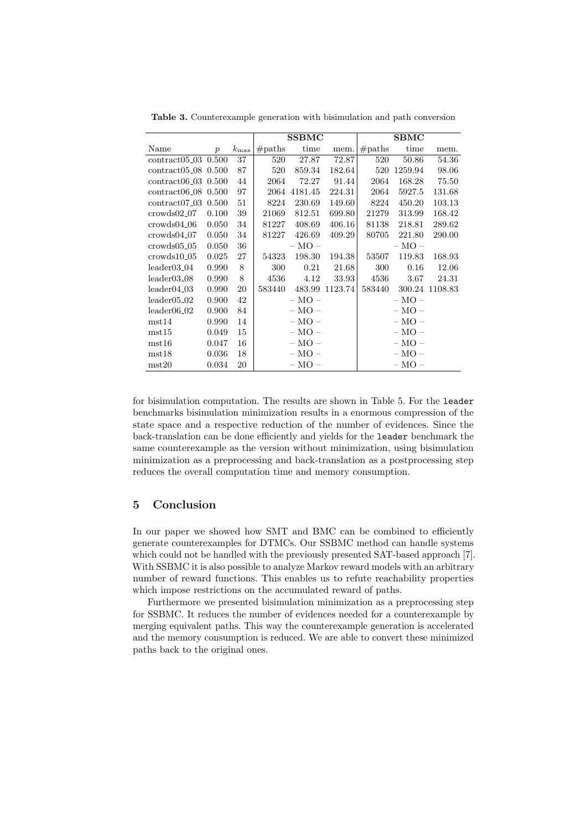Table 3. Counterexample generation with bisimulation and path conversion

|                          |                  |               | <b>SSBMC</b>     |                  |         | <b>SBMC</b> |         |         |  |
|--------------------------|------------------|---------------|------------------|------------------|---------|-------------|---------|---------|--|
| Name                     | $\boldsymbol{p}$ | $k_{\rm max}$ | #paths           | time             | mem.    | $\#paths$   | time    | mem.    |  |
| $contract05_03_0.500$    |                  | 37            | 520              | 27.87            | 72.87   | 520         | 50.86   | 54.36   |  |
| $contract05_08 0.500$    |                  | 87            | 520              | 859.34           | 182.64  | 520         | 1259.94 | 98.06   |  |
| $contract06_03_0.500$    |                  | 44            | 2064             | 72.27            | 91.44   | 2064        | 168.28  | 75.50   |  |
| $contract06_08 0.500$    |                  | 97            | 2064             | 4181.45          | 224.31  | 2064        | 5927.5  | 131.68  |  |
| $contract07_03_00.500$   |                  | 51            | 8224             | 230.69           | 149.60  | 8224        | 450.20  | 103.13  |  |
| $\text{crowds}02\_07$    | 0.100            | 39            | 21069            | 812.51           | 699.80  | 21279       | 313.99  | 168.42  |  |
| $\text{crowds}$ $04\_06$ | 0.050            | 34            | 81227            | 408.69           | 406.16  | 81138       | 218.81  | 289.62  |  |
| $\text{crowds}04\_07$    | 0.050            | 34            | 81227<br>426.69  |                  | 409.29  | 80705       | 221.80  | 290.00  |  |
| $\text{crowds}05_05$     | 0.050            | 36            | $- MO -$         |                  |         | $- MO -$    |         |         |  |
| $crowds10_05$            | 0.025            | 27            | 54323            | 198.30           | 194.38  | 53507       | 119.83  | 168.93  |  |
| leader <sub>03.04</sub>  | 0.990            | 8             | 300              | 0.21             | 21.68   | 300         | 0.16    | 12.06   |  |
| leader <sub>03.08</sub>  | 0.990            | 8             | 4536             | 4.12             | 33.93   | 4536        | 3.67    | 24.31   |  |
| $leader04_03$            | 0.990            | 20            | 583440           | 483.99           | 1123.74 | 583440      | 300.24  | 1108.83 |  |
| $leader 05_02$           | 0.900            | 42            |                  | $- \text{ MO} -$ |         | $- MO -$    |         |         |  |
| $leader 06_02$           | 0.900            | 84            |                  | $- MO -$         |         | $- MO -$    |         |         |  |
| mst14                    | 0.990            | 14            | – MO –           |                  |         | $- MO -$    |         |         |  |
| mst15                    | 0.049            | 15            | $- \text{ MO} -$ |                  |         | $- MO -$    |         |         |  |
| mst16                    | 0.047            | 16            | $- MO -$         |                  |         | $- MO -$    |         |         |  |
| mst18                    | 0.036            | 18            | $- MO -$         |                  |         | $- MO -$    |         |         |  |
| mst20                    | 0.034            | 20            |                  | – MO –           |         | $- MO -$    |         |         |  |

for bisimulation computation. The results are shown in Table 5. For the leader benchmarks bisimulation minimization results in a enormous compression of the state space and a respective reduction of the number of evidences. Since the back-translation can be done efficiently and yields for the leader benchmark the same counterexample as the version without minimization, using bisimulation minimization as a preprocessing and back-translation as a postprocessing step reduces the overall computation time and memory consumption.

## 5 Conclusion

In our paper we showed how SMT and BMC can be combined to efficiently generate counterexamples for DTMCs. Our SSBMC method can handle systems which could not be handled with the previously presented SAT-based approach [7]. With SSBMC it is also possible to analyze Markov reward models with an arbitrary number of reward functions. This enables us to refute reachability properties which impose restrictions on the accumulated reward of paths.

Furthermore we presented bisimulation minimization as a preprocessing step for SSBMC. It reduces the number of evidences needed for a counterexample by merging equivalent paths. This way the counterexample generation is accelerated and the memory consumption is reduced. We are able to convert these minimized paths back to the original ones.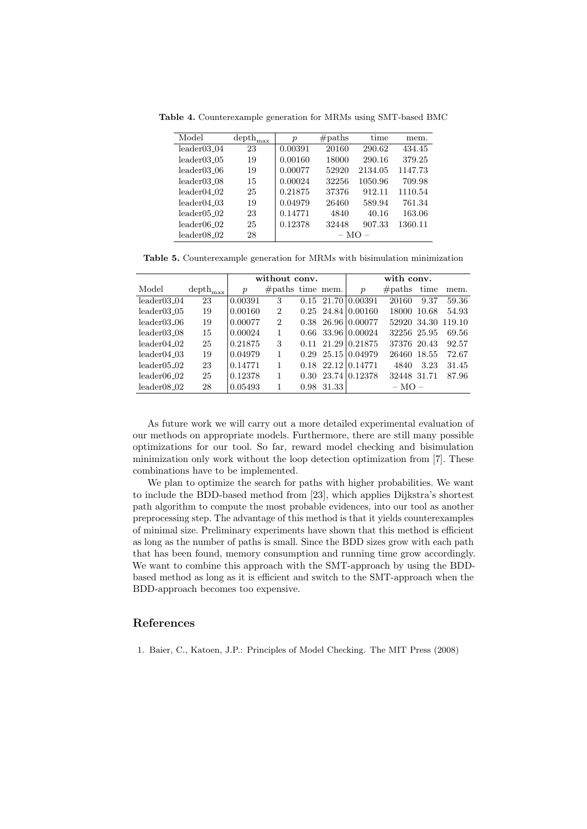Table 4. Counterexample generation for MRMs using SMT-based BMC

| Model          | depth. | $\boldsymbol{p}$ | $\#$ paths | time    | mem.    |
|----------------|--------|------------------|------------|---------|---------|
| $leader03_04$  | 23     | 0.00391          | 20160      | 290.62  | 434.45  |
| $leader03_005$ | 19     | 0.00160          | 18000      | 290.16  | 379.25  |
| leader03_06    | 19     | 0.00077          | 52920      | 2134.05 | 1147.73 |
| $leader0.30.8$ | 15     | 0.00024          | 32256      | 1050.96 | 709.98  |
| leader04 02    | 25     | 0.21875          | 37376      | 912.11  | 1110.54 |
| $leader04_03$  | 19     | 0.04979          | 26460      | 589.94  | 761.34  |
| $leader 05_02$ | 23     | 0.14771          | 4840       | 40.16   | 163.06  |
| $leader 06_02$ | 25     | 0.12378          | 32448      | 907.33  | 1360.11 |
| leader08 02    | 28     |                  | $- M()$    |         |         |

Table 5. Counterexample generation for MRMs with bisimulation minimization

|                |                             |                  | without conv.      |                |              | with conv.                  |                   |       |        |  |
|----------------|-----------------------------|------------------|--------------------|----------------|--------------|-----------------------------|-------------------|-------|--------|--|
| Model          | $\mbox{depth}_{\mbox{max}}$ | $\boldsymbol{p}$ | $#paths$ time mem. |                |              | $\boldsymbol{p}$            | $\# \text{paths}$ | time  | mem.   |  |
| $leader03_04$  | 23                          | 0.00391          | 3                  |                | 0.15 21.70   | 0.00391                     | 20160             | 9.37  | 59.36  |  |
| $leader 03_05$ | 19                          | 0.00160          | $\overline{2}$     |                | $0.25$ 24.84 | 0.00160                     | 18000             | 10.68 | 54.93  |  |
| $leader03_006$ | 19                          | 0.00077          | $\overline{2}$     |                |              | $0.38$ 26.96 0.00077        | 52920 34.30       |       | 119.10 |  |
| $leader03_08$  | 15                          | 0.00024          | 1                  |                |              | $0.66$ 33.96 $\mid 0.00024$ | 32256 25.95       |       | 69.56  |  |
| $leader 04_02$ | 25                          | 0.21875          | 3                  | 0.11           | 21.29        | 0.21875                     | 37376 20.43       |       | 92.57  |  |
| $leader04_03$  | 19                          | 0.04979          | 1                  | 0.29           |              | 25.15 0.04979               | 26460             | 18.55 | 72.67  |  |
| leader 05 02   | 23                          | 0.14771          | 1                  |                |              | $0.18$ 22.12 $0.14771$      | 4840              | 3.23  | 31.45  |  |
| $leader 06_02$ | 25                          | 0.12378          | 1                  | $0.30^{\circ}$ | 23.74        | 0.12378                     | 32448 31.71       |       | 87.96  |  |
| $leader 08_02$ | 28                          | 0.05493          |                    | 0.98           | 31.33        |                             | $- MO =$          |       |        |  |

As future work we will carry out a more detailed experimental evaluation of our methods on appropriate models. Furthermore, there are still many possible optimizations for our tool. So far, reward model checking and bisimulation minimization only work without the loop detection optimization from [7]. These combinations have to be implemented.

We plan to optimize the search for paths with higher probabilities. We want to include the BDD-based method from [23], which applies Dijkstra's shortest path algorithm to compute the most probable evidences, into our tool as another preprocessing step. The advantage of this method is that it yields counterexamples of minimal size. Preliminary experiments have shown that this method is efficient as long as the number of paths is small. Since the BDD sizes grow with each path that has been found, memory consumption and running time grow accordingly. We want to combine this approach with the SMT-approach by using the BDDbased method as long as it is efficient and switch to the SMT-approach when the BDD-approach becomes too expensive.

## References

1. Baier, C., Katoen, J.P.: Principles of Model Checking. The MIT Press (2008)